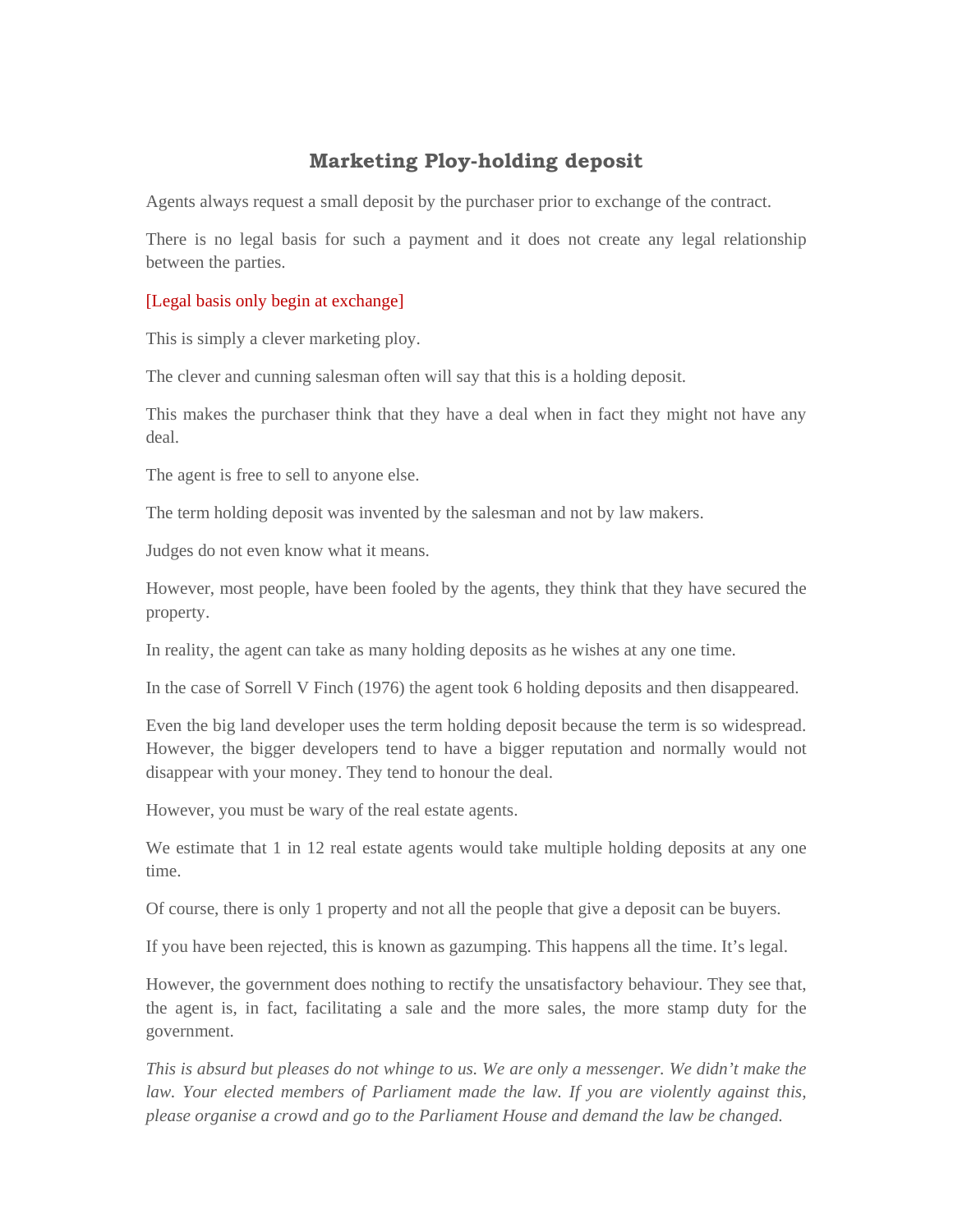## **Marketing Ploy-holding deposit**

Agents always request a small deposit by the purchaser prior to exchange of the contract.

There is no legal basis for such a payment and it does not create any legal relationship between the parties.

## [Legal basis only begin at exchange]

This is simply a clever marketing ploy.

The clever and cunning salesman often will say that this is a holding deposit.

This makes the purchaser think that they have a deal when in fact they might not have any deal.

The agent is free to sell to anyone else.

The term holding deposit was invented by the salesman and not by law makers.

Judges do not even know what it means.

However, most people, have been fooled by the agents, they think that they have secured the property.

In reality, the agent can take as many holding deposits as he wishes at any one time.

In the case of Sorrell V Finch (1976) the agent took 6 holding deposits and then disappeared.

Even the big land developer uses the term holding deposit because the term is so widespread. However, the bigger developers tend to have a bigger reputation and normally would not disappear with your money. They tend to honour the deal.

However, you must be wary of the real estate agents.

We estimate that 1 in 12 real estate agents would take multiple holding deposits at any one time.

Of course, there is only 1 property and not all the people that give a deposit can be buyers.

If you have been rejected, this is known as gazumping. This happens all the time. It's legal.

However, the government does nothing to rectify the unsatisfactory behaviour. They see that, the agent is, in fact, facilitating a sale and the more sales, the more stamp duty for the government.

*This is absurd but pleases do not whinge to us. We are only a messenger. We didn't make the law. Your elected members of Parliament made the law. If you are violently against this, please organise a crowd and go to the Parliament House and demand the law be changed.*